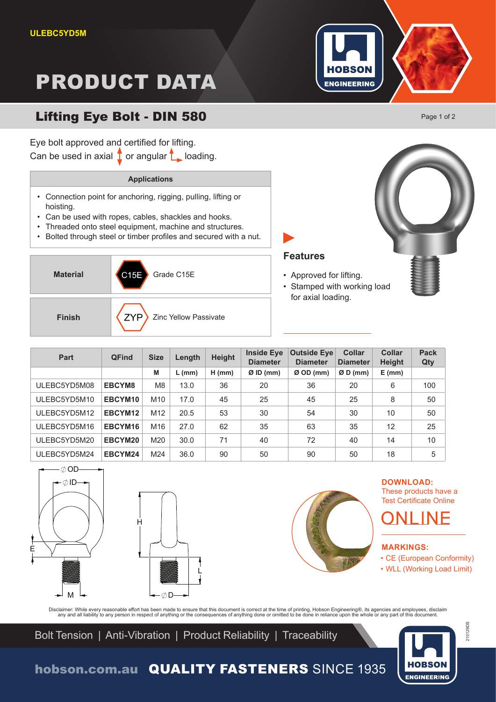# PRODUCT DATA



## Lifting Eye Bolt - DIN 580

Eye bolt approved and certified for lifting. Can be used in axial  $\int$  or angular  $\int$  loading.

### **Applications**

- Connection point for anchoring, rigging, pulling, lifting or hoisting.
- Can be used with ropes, cables, shackles and hooks.

Material **C15E** Grade C15E

- Threaded onto steel equipment, machine and structures.
- Bolted through steel or timber profiles and secured with a nut.



| <b>Part</b>  | <b>QFind</b> | <b>Size</b>     | Length   | <b>Height</b> | <b>Inside Eye</b><br><b>Diameter</b> | <b>Outside Eye</b><br><b>Diameter</b> | <b>Collar</b><br><b>Diameter</b> | <b>Collar</b><br><b>Height</b> | <b>Pack</b><br>Qty |
|--------------|--------------|-----------------|----------|---------------|--------------------------------------|---------------------------------------|----------------------------------|--------------------------------|--------------------|
|              |              | M               | $L$ (mm) | $H$ (mm)      | $Ø$ ID (mm)                          | $Ø$ OD (mm)                           | $ØD$ (mm)                        | $E$ (mm)                       |                    |
| ULEBC5YD5M08 | EBCYM8       | M <sub>8</sub>  | 13.0     | 36            | 20                                   | 36                                    | 20                               | 6                              | 100                |
| ULEBC5YD5M10 | EBCYM10      | M <sub>10</sub> | 17.0     | 45            | 25                                   | 45                                    | 25                               | 8                              | 50                 |
| ULEBC5YD5M12 | EBCYM12      | M <sub>12</sub> | 20.5     | 53            | 30                                   | 54                                    | 30                               | 10                             | 50                 |
| ULEBC5YD5M16 | EBCYM16      | M <sub>16</sub> | 27.0     | 62            | 35                                   | 63                                    | 35                               | 12                             | 25                 |
| ULEBC5YD5M20 | EBCYM20      | M20             | 30.0     | 71            | 40                                   | 72                                    | 40                               | 14                             | 10                 |
| ULEBC5YD5M24 | EBCYM24      | M24             | 36.0     | 90            | 50                                   | 90                                    | 50                               | 18                             | 5                  |







**Features**

• Approved for lifting.

for axial loading.

• Stamped with working load

**DOWNLOAD:** These products have a Test Certificate Online

- CE (European Conformity)
- WLL (Working Load Limit)

Disclaimer: While every reasonable effort has been made to ensure that this document is correct at the time of printing, Hobson Engineering®, its agencies and employees, disclaim<br>any and all liability to any person in resp

Bolt Tension | Anti-Vibration | Product Reliability | Traceability



210129DS

210129DS

hobson.com.au QUALITY FASTENERS SINCE 1935

Page 1 of 2